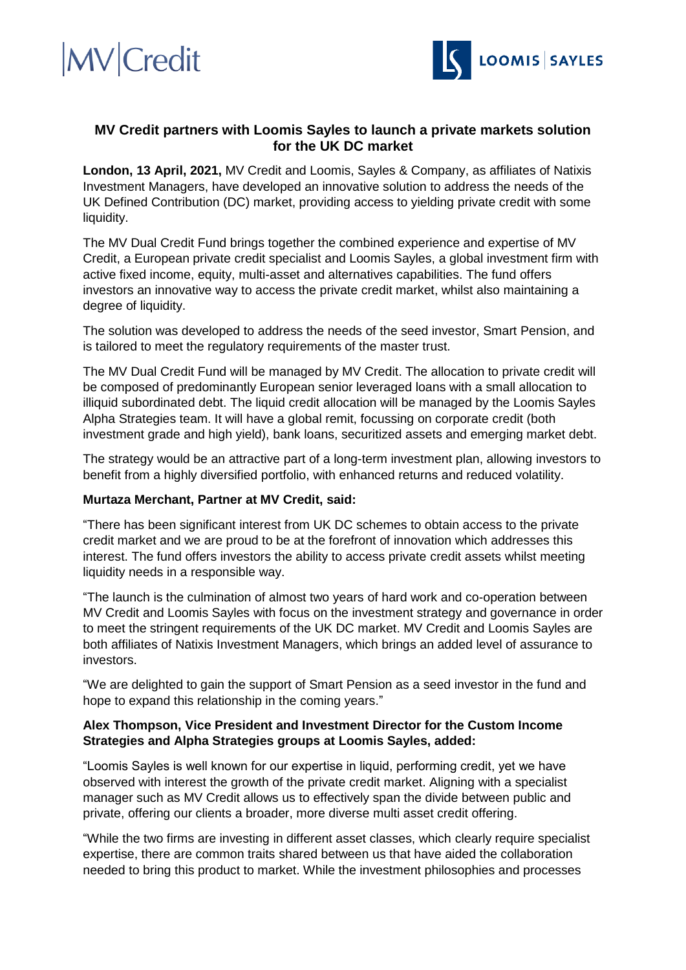## **MV** Credit



### **MV Credit partners with Loomis Sayles to launch a private markets solution for the UK DC market**

**London, 13 April, 2021,** MV Credit and Loomis, Sayles & Company, as affiliates of Natixis Investment Managers, have developed an innovative solution to address the needs of the UK Defined Contribution (DC) market, providing access to yielding private credit with some liquidity.

The MV Dual Credit Fund brings together the combined experience and expertise of MV Credit, a European private credit specialist and Loomis Sayles, a global investment firm with active fixed income, equity, multi-asset and alternatives capabilities. The fund offers investors an innovative way to access the private credit market, whilst also maintaining a degree of liquidity.

The solution was developed to address the needs of the seed investor, Smart Pension, and is tailored to meet the regulatory requirements of the master trust.

The MV Dual Credit Fund will be managed by MV Credit. The allocation to private credit will be composed of predominantly European senior leveraged loans with a small allocation to illiquid subordinated debt. The liquid credit allocation will be managed by the Loomis Sayles Alpha Strategies team. It will have a global remit, focussing on corporate credit (both investment grade and high yield), bank loans, securitized assets and emerging market debt.

The strategy would be an attractive part of a long-term investment plan, allowing investors to benefit from a highly diversified portfolio, with enhanced returns and reduced volatility.

### **Murtaza Merchant, Partner at MV Credit, said:**

"There has been significant interest from UK DC schemes to obtain access to the private credit market and we are proud to be at the forefront of innovation which addresses this interest. The fund offers investors the ability to access private credit assets whilst meeting liquidity needs in a responsible way.

"The launch is the culmination of almost two years of hard work and co-operation between MV Credit and Loomis Sayles with focus on the investment strategy and governance in order to meet the stringent requirements of the UK DC market. MV Credit and Loomis Sayles are both affiliates of Natixis Investment Managers, which brings an added level of assurance to investors.

"We are delighted to gain the support of Smart Pension as a seed investor in the fund and hope to expand this relationship in the coming years."

### **Alex Thompson, Vice President and Investment Director for the Custom Income Strategies and Alpha Strategies groups at Loomis Sayles, added:**

"Loomis Sayles is well known for our expertise in liquid, performing credit, yet we have observed with interest the growth of the private credit market. Aligning with a specialist manager such as MV Credit allows us to effectively span the divide between public and private, offering our clients a broader, more diverse multi asset credit offering.

"While the two firms are investing in different asset classes, which clearly require specialist expertise, there are common traits shared between us that have aided the collaboration needed to bring this product to market. While the investment philosophies and processes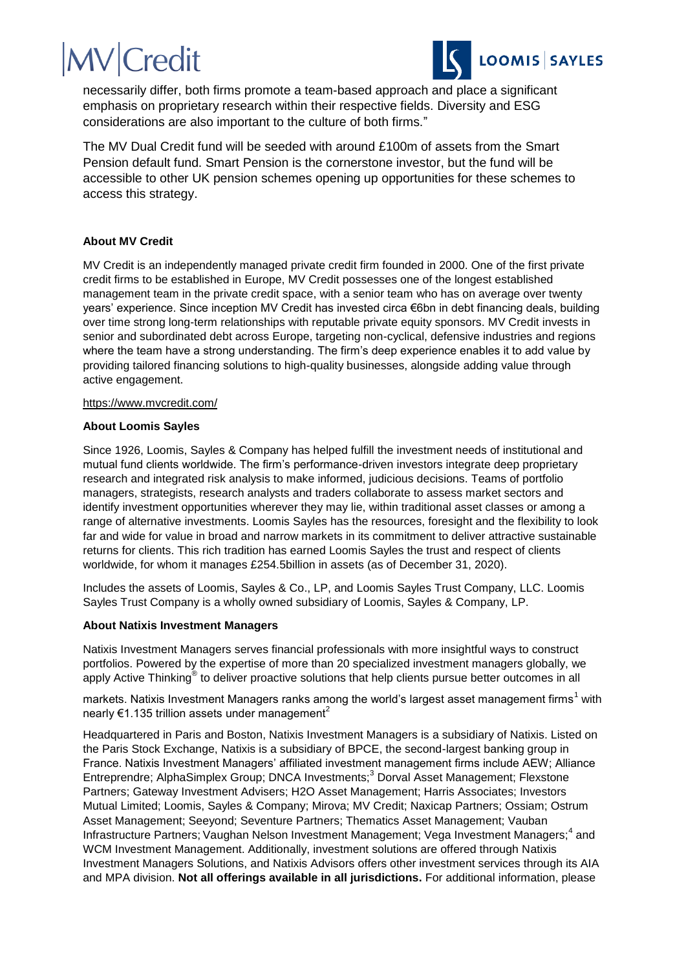# **MV** Credit



necessarily differ, both firms promote a team-based approach and place a significant emphasis on proprietary research within their respective fields. Diversity and ESG considerations are also important to the culture of both firms."

The MV Dual Credit fund will be seeded with around £100m of assets from the Smart Pension default fund. Smart Pension is the cornerstone investor, but the fund will be accessible to other UK pension schemes opening up opportunities for these schemes to access this strategy.

#### **About MV Credit**

MV Credit is an independently managed private credit firm founded in 2000. One of the first private credit firms to be established in Europe, MV Credit possesses one of the longest established management team in the private credit space, with a senior team who has on average over twenty years' experience. Since inception MV Credit has invested circa €6bn in debt financing deals, building over time strong long-term relationships with reputable private equity sponsors. MV Credit invests in senior and subordinated debt across Europe, targeting non-cyclical, defensive industries and regions where the team have a strong understanding. The firm's deep experience enables it to add value by providing tailored financing solutions to high-quality businesses, alongside adding value through active engagement.

#### <https://www.mvcredit.com/>

#### **About Loomis Sayles**

Since 1926, Loomis, Sayles & Company has helped fulfill the investment needs of institutional and mutual fund clients worldwide. The firm's performance-driven investors integrate deep proprietary research and integrated risk analysis to make informed, judicious decisions. Teams of portfolio managers, strategists, research analysts and traders collaborate to assess market sectors and identify investment opportunities wherever they may lie, within traditional asset classes or among a range of alternative investments. Loomis Sayles has the resources, foresight and the flexibility to look far and wide for value in broad and narrow markets in its commitment to deliver attractive sustainable returns for clients. This rich tradition has earned Loomis Sayles the trust and respect of clients worldwide, for whom it manages £254.5billion in assets (as of December 31, 2020).

Includes the assets of Loomis, Sayles & Co., LP, and Loomis Sayles Trust Company, LLC. Loomis Sayles Trust Company is a wholly owned subsidiary of Loomis, Sayles & Company, LP.

#### **About Natixis Investment Managers**

Natixis Investment Managers serves financial professionals with more insightful ways to construct portfolios. Powered by the expertise of more than 20 specialized investment managers globally, we apply Active Thinking<sup>®</sup> to deliver proactive solutions that help clients pursue better outcomes in all

markets. Natixis Investment Managers ranks among the world's largest asset management firms<sup>1</sup> with nearly  $\epsilon$ 1.135 trillion assets under management<sup>2</sup>

Headquartered in Paris and Boston, Natixis Investment Managers is a subsidiary of Natixis. Listed on the Paris Stock Exchange, Natixis is a subsidiary of BPCE, the second-largest banking group in France. Natixis Investment Managers' affiliated investment management firms include AEW; Alliance Entreprendre; AlphaSimplex Group; DNCA Investments;<sup>3</sup> Dorval Asset Management; Flexstone Partners; Gateway Investment Advisers; H2O Asset Management; Harris Associates; Investors Mutual Limited; Loomis, Sayles & Company; Mirova; MV Credit; Naxicap Partners; Ossiam; Ostrum Asset Management; Seeyond; Seventure Partners; Thematics Asset Management; Vauban Infrastructure Partners; Vaughan Nelson Investment Management; Vega Investment Managers;<sup>4</sup> and WCM Investment Management. Additionally, investment solutions are offered through Natixis Investment Managers Solutions, and Natixis Advisors offers other investment services through its AIA and MPA division. **Not all offerings available in all jurisdictions.** For additional information, please